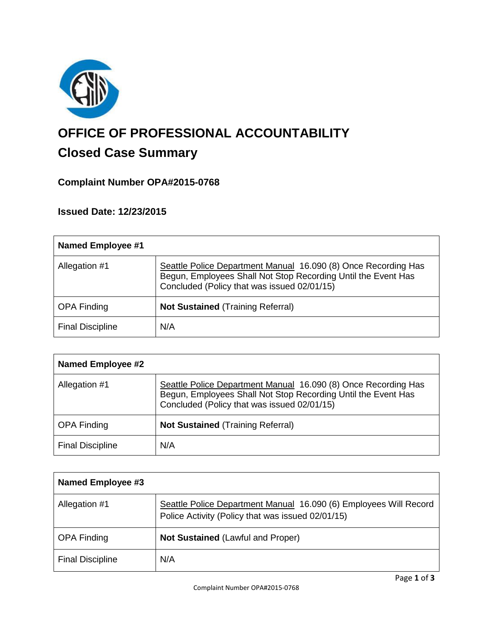

# **OFFICE OF PROFESSIONAL ACCOUNTABILITY**

## **Closed Case Summary**

### **Complaint Number OPA#2015-0768**

#### **Issued Date: 12/23/2015**

| <b>Named Employee #1</b> |                                                                                                                                                                                |
|--------------------------|--------------------------------------------------------------------------------------------------------------------------------------------------------------------------------|
| Allegation #1            | Seattle Police Department Manual 16.090 (8) Once Recording Has<br>Begun, Employees Shall Not Stop Recording Until the Event Has<br>Concluded (Policy that was issued 02/01/15) |
| <b>OPA Finding</b>       | <b>Not Sustained (Training Referral)</b>                                                                                                                                       |
| <b>Final Discipline</b>  | N/A                                                                                                                                                                            |

| <b>Named Employee #2</b> |                                                                                                                                                                                |
|--------------------------|--------------------------------------------------------------------------------------------------------------------------------------------------------------------------------|
| Allegation #1            | Seattle Police Department Manual 16.090 (8) Once Recording Has<br>Begun, Employees Shall Not Stop Recording Until the Event Has<br>Concluded (Policy that was issued 02/01/15) |
| <b>OPA Finding</b>       | <b>Not Sustained (Training Referral)</b>                                                                                                                                       |
| <b>Final Discipline</b>  | N/A                                                                                                                                                                            |

| <b>Named Employee #3</b> |                                                                                                                        |
|--------------------------|------------------------------------------------------------------------------------------------------------------------|
| Allegation #1            | Seattle Police Department Manual 16.090 (6) Employees Will Record<br>Police Activity (Policy that was issued 02/01/15) |
| <b>OPA Finding</b>       | <b>Not Sustained (Lawful and Proper)</b>                                                                               |
| <b>Final Discipline</b>  | N/A                                                                                                                    |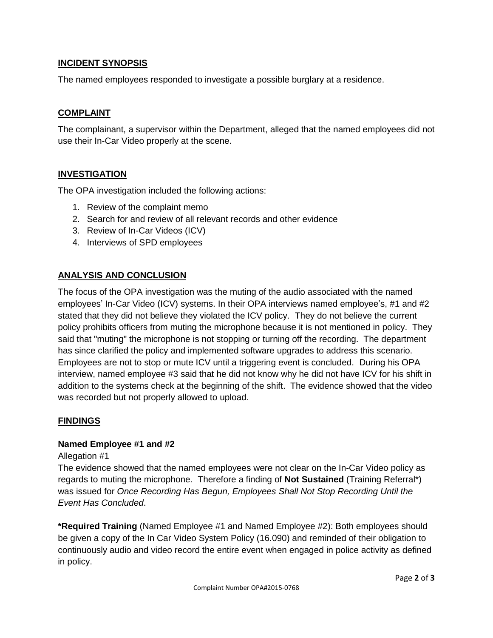#### **INCIDENT SYNOPSIS**

The named employees responded to investigate a possible burglary at a residence.

#### **COMPLAINT**

The complainant, a supervisor within the Department, alleged that the named employees did not use their In-Car Video properly at the scene.

#### **INVESTIGATION**

The OPA investigation included the following actions:

- 1. Review of the complaint memo
- 2. Search for and review of all relevant records and other evidence
- 3. Review of In-Car Videos (ICV)
- 4. Interviews of SPD employees

#### **ANALYSIS AND CONCLUSION**

The focus of the OPA investigation was the muting of the audio associated with the named employees' In-Car Video (ICV) systems. In their OPA interviews named employee's, #1 and #2 stated that they did not believe they violated the ICV policy. They do not believe the current policy prohibits officers from muting the microphone because it is not mentioned in policy. They said that "muting" the microphone is not stopping or turning off the recording. The department has since clarified the policy and implemented software upgrades to address this scenario. Employees are not to stop or mute ICV until a triggering event is concluded. During his OPA interview, named employee #3 said that he did not know why he did not have ICV for his shift in addition to the systems check at the beginning of the shift. The evidence showed that the video was recorded but not properly allowed to upload.

#### **FINDINGS**

#### **Named Employee #1 and #2**

Allegation #1

The evidence showed that the named employees were not clear on the In-Car Video policy as regards to muting the microphone. Therefore a finding of **Not Sustained** (Training Referral\*) was issued for *Once Recording Has Begun, Employees Shall Not Stop Recording Until the Event Has Concluded*.

**\*Required Training** (Named Employee #1 and Named Employee #2): Both employees should be given a copy of the In Car Video System Policy (16.090) and reminded of their obligation to continuously audio and video record the entire event when engaged in police activity as defined in policy.